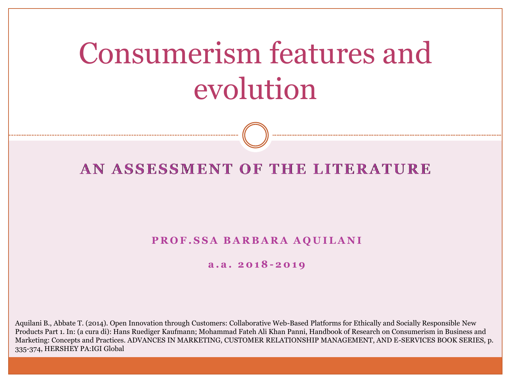# Consumerism features and evolution

#### AN ASSESSMENT OF THE LITERATURE

#### **PROF.SSA BARBARA AQUILANI**

#### **a . a . 2 0 1 8 - 2 0 1 9**

Aquilani B., Abbate T. (2014). Open Innovation through Customers: Collaborative Web-Based Platforms for Ethically and Socially Responsible New Products Part 1. In: (a cura di): Hans Ruediger Kaufmann; Mohammad Fateh Ali Khan Panni, Handbook of Research on Consumerism in Business and Marketing: Concepts and Practices. ADVANCES IN MARKETING, CUSTOMER RELATIONSHIP MANAGEMENT, AND E-SERVICES BOOK SERIES, p. 335-374, HERSHEY PA:IGI Global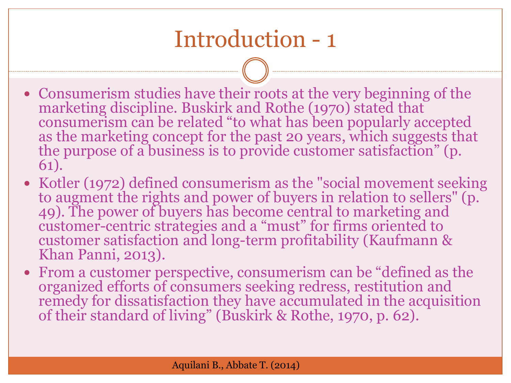#### Introduction - 1

- Consumerism studies have their roots at the very beginning of the marketing discipline. Buskirk and Rothe (1970) stated that consumerism can be related "to what has been popularly accepted as the marketing concept for the past 20 years, which suggests that the purpose of a business is to provide customer satisfaction" (p. 61).
- Kotler (1972) defined consumerism as the "social movement seeking to augment the rights and power of buyers in relation to sellers" (p. 49). The power of buyers has become central to marketing and customer-centric strategies and a "must" for firms oriented to customer satisfaction and long-term profitability (Kaufmann & Khan Panni, 2013).
- From a customer perspective, consumerism can be "defined as the organized efforts of consumers seeking redress, restitution and remedy for dissatisfaction they have accumulated in the acquisition of their standard of living" (Buskirk & Rothe, 1970, p. 62).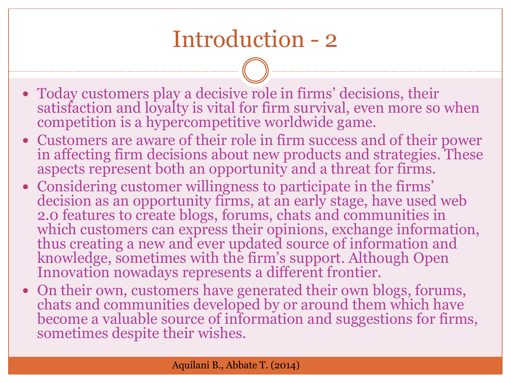#### Introduction - 2

- Today customers play a decisive role in firms' decisions, their satisfaction and loyalty is vital for firm survival, even more so when competition is a hypercompetitive worldwide game.
- Customers are aware of their role in firm success and of their power in affecting firm decisions about new products and strategies. These aspects represent both an opportunity and a threat for firms.
- Considering customer willingness to participate in the firms' decision as an opportunity firms, at an early stage, have used web 2.0 features to create blogs, forums, chats and communities in which customers can express their opinions, exchange information, thus creating a new and ever updated source of information and knowledge, sometimes with the firm's support. Although Open Innovation nowadays represents a different frontier.
- On their own, customers have generated their own blogs, forums, chats and communities developed by or around them which have become a valuable source of information and suggestions for firms, sometimes despite their wishes.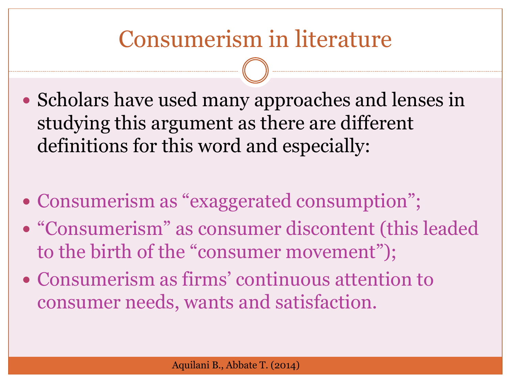#### Consumerism in literature

- Scholars have used many approaches and lenses in studying this argument as there are different definitions for this word and especially:
- Consumerism as "exaggerated consumption";
- "Consumerism" as consumer discontent (this leaded to the birth of the "consumer movement");
- Consumerism as firms' continuous attention to consumer needs, wants and satisfaction.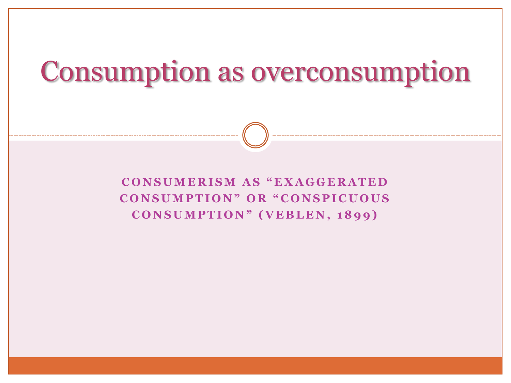## Consumption as overconsumption

**C O N S U M E R I S M A S " E X A G G E R A T E D**  CONSUMPTION" OR "CONSPICUOUS CONSUMPTION" (VEBLEN, 1899)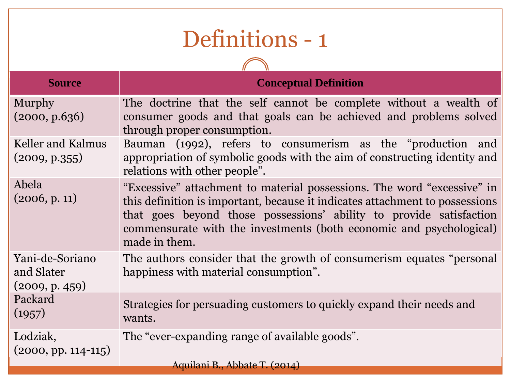#### Definitions - 1

 $\bigcap$ 

| <b>Source</b>                                   | <b>Conceptual Definition</b>                                                                                                                                                                                                                                                                                           |
|-------------------------------------------------|------------------------------------------------------------------------------------------------------------------------------------------------------------------------------------------------------------------------------------------------------------------------------------------------------------------------|
| <b>Murphy</b><br>(2000, p.636)                  | The doctrine that the self cannot be complete without a wealth of<br>consumer goods and that goals can be achieved and problems solved<br>through proper consumption.                                                                                                                                                  |
| <b>Keller and Kalmus</b><br>(2009, p.355)       | Bauman (1992), refers to consumerism as the "production and<br>appropriation of symbolic goods with the aim of constructing identity and<br>relations with other people".                                                                                                                                              |
| Abela<br>(2006, p. 11)                          | "Excessive" attachment to material possessions. The word "excessive" in<br>this definition is important, because it indicates attachment to possessions<br>that goes beyond those possessions' ability to provide satisfaction<br>commensurate with the investments (both economic and psychological)<br>made in them. |
| Yani-de-Soriano<br>and Slater<br>(2009, p. 459) | The authors consider that the growth of consumerism equates "personal"<br>happiness with material consumption".                                                                                                                                                                                                        |
| Packard<br>(1957)                               | Strategies for persuading customers to quickly expand their needs and<br>wants.                                                                                                                                                                                                                                        |
| Lodziak,<br>$(2000, pp. 114-115)$               | The "ever-expanding range of available goods".                                                                                                                                                                                                                                                                         |
|                                                 | Aquilani B., Abbate T. (2014)                                                                                                                                                                                                                                                                                          |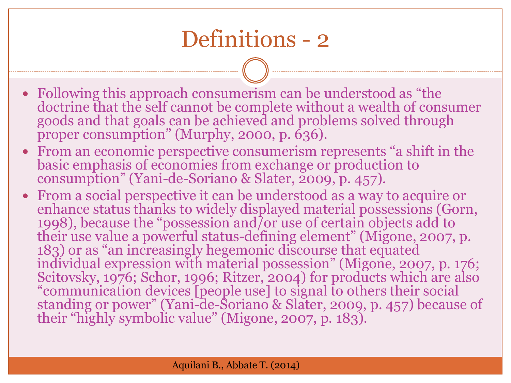#### Definitions - 2

- Following this approach consumerism can be understood as "the doctrine that the self cannot be complete without a wealth of consumer goods and that goals can be achieved and problems solved through proper consumption" (Murphy, 2000, p. 636).
- From an economic perspective consumerism represents "a shift in the basic emphasis of economies from exchange or production to consumption" (Yani-de-Soriano & Slater, 2009, p. 457).
- From a social perspective it can be understood as a way to acquire or enhance status thanks to widely displayed material possessions (Gorn, 1998), because the "possession and/or use of certain objects add to their use value a powerful status-defining element" (Migone, 2007, p. 183) or as "an increasingly hegemonic discourse that equated individual expression with material possession" (Migone, 2007, p. 176; Scitovsky, 1976; Schor, 1996; Ritzer, 2004) for products which are also "communication devices [people use] to signal to others their social standing or power" (Yani-de-Soriano & Slater, 2009, p. 457) because of their "highly symbolic value" (Migone, 2007, p. 183).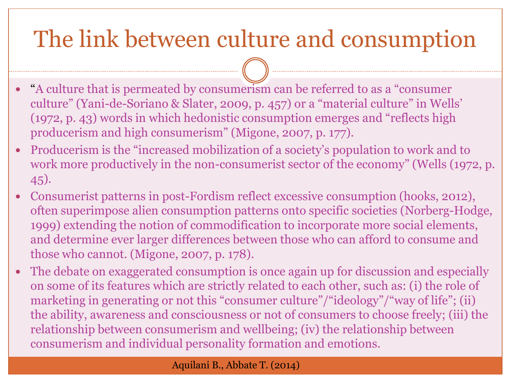## The link between culture and consumption

- $\bullet$ "A culture that is permeated by consumerism can be referred to as a "consumer culture" (Yani-de-Soriano & Slater, 2009, p. 457) or a "material culture" in Wells' (1972, p. 43) words in which hedonistic consumption emerges and "reflects high producerism and high consumerism" (Migone, 2007, p. 177).
- Producerism is the "increased mobilization of a society's population to work and to work more productively in the non-consumerist sector of the economy" (Wells (1972, p. 45).
- Consumerist patterns in post-Fordism reflect excessive consumption (hooks, 2012), often superimpose alien consumption patterns onto specific societies (Norberg-Hodge, 1999) extending the notion of commodification to incorporate more social elements, and determine ever larger differences between those who can afford to consume and those who cannot. (Migone, 2007, p. 178).
- The debate on exaggerated consumption is once again up for discussion and especially on some of its features which are strictly related to each other, such as: (i) the role of marketing in generating or not this "consumer culture"/"ideology"/"way of life"; (ii) the ability, awareness and consciousness or not of consumers to choose freely; (iii) the relationship between consumerism and wellbeing; (iv) the relationship between consumerism and individual personality formation and emotions.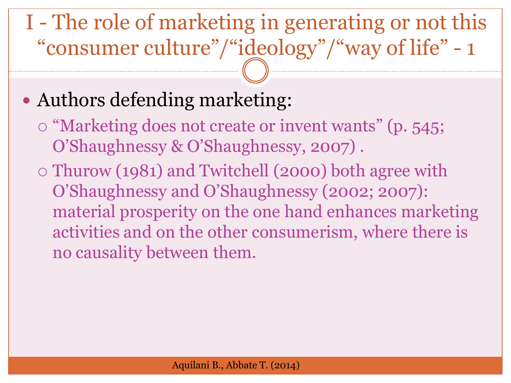I - The role of marketing in generating or not this "consumer culture"/"ideology"/"way of life" - 1

#### Authors defending marketing:

- $\circ$  "Marketing does not create or invent wants" (p. 545; O'Shaughnessy & O'Shaughnessy, 2007) .
- Thurow (1981) and Twitchell (2000) both agree with O'Shaughnessy and O'Shaughnessy (2002; 2007): material prosperity on the one hand enhances marketing activities and on the other consumerism, where there is no causality between them.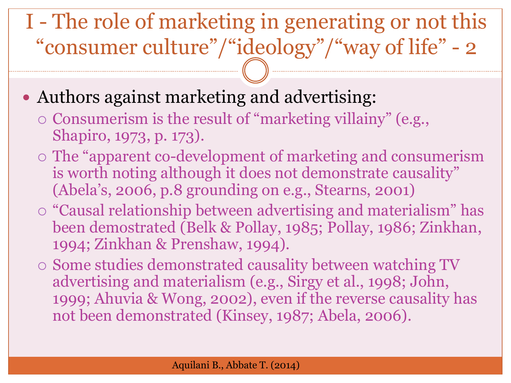#### I - The role of marketing in generating or not this "consumer culture"/"ideology"/"way of life" - 2

#### • Authors against marketing and advertising:

- $\circ$  Consumerism is the result of "marketing villainy" (e.g., Shapiro, 1973, p. 173).
- The "apparent co-development of marketing and consumerism is worth noting although it does not demonstrate causality" (Abela's, 2006, p.8 grounding on e.g., Stearns, 2001)
- "Causal relationship between advertising and materialism" has been demostrated (Belk & Pollay, 1985; Pollay, 1986; Zinkhan, 1994; Zinkhan & Prenshaw, 1994).
- Some studies demonstrated causality between watching TV advertising and materialism (e.g., Sirgy et al., 1998; John, 1999; Ahuvia & Wong, 2002), even if the reverse causality has not been demonstrated (Kinsey, 1987; Abela, 2006).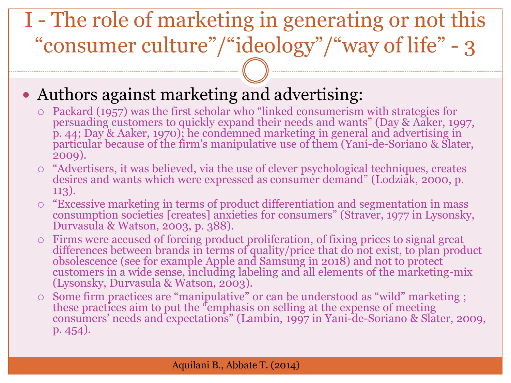#### I - The role of marketing in generating or not this "consumer culture"/"ideology"/"way of life" - 3

- Authors against marketing and advertising:
	- Packard (1957) was the first scholar who "linked consumerism with strategies for persuading customers to quickly expand their needs and wants" (Day & Aaker, 1997, p. 44; Day & Aaker, 1970); he condemned marketing in general and advertising in particular because of the firm's manipulative use of them (Yani-de-Soriano & Slater, 2009).
	- "Advertisers, it was believed, via the use of clever psychological techniques, creates desires and wants which were expressed as consumer demand" (Lodziak, 2000, p. 113).
	- "Excessive marketing in terms of product differentiation and segmentation in mass consumption societies [creates] anxieties for consumers" (Straver, 1977 in Lysonsky, Durvasula & Watson, 2003, p. 388).
	- Firms were accused of forcing product proliferation, of fixing prices to signal great differences between brands in terms of quality/price that do not exist, to plan product obsolescence (see for example Apple and Samsung in 2018) and not to protect customers in a wide sense, including labeling and all elements of the marketing-mix (Lysonsky, Durvasula & Watson, 2003).
	- Some firm practices are "manipulative" or can be understood as "wild" marketing ; these practices aim to put the "emphasis on selling at the expense of meeting consumers' needs and expectations" (Lambin, 1997 in Yani-de-Soriano & Slater, 2009, p. 454).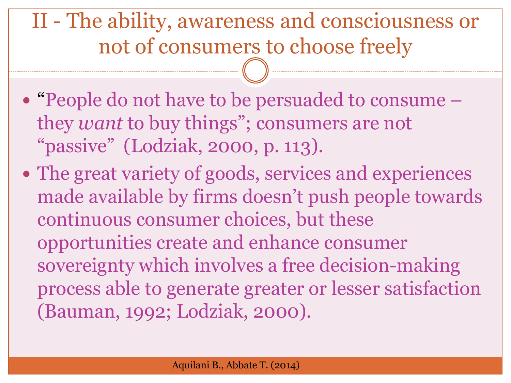II - The ability, awareness and consciousness or not of consumers to choose freely

- "People do not have to be persuaded to consume they *want* to buy things"; consumers are not "passive" (Lodziak, 2000, p. 113).
- The great variety of goods, services and experiences made available by firms doesn't push people towards continuous consumer choices, but these opportunities create and enhance consumer sovereignty which involves a free decision-making process able to generate greater or lesser satisfaction (Bauman, 1992; Lodziak, 2000).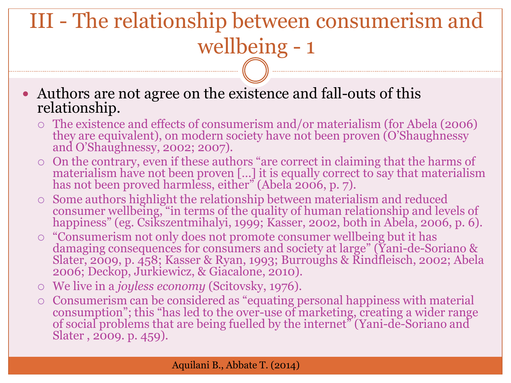## III - The relationship between consumerism and wellbeing - 1

 Authors are not agree on the existence and fall-outs of this relationship.

- The existence and effects of consumerism and/or materialism (for Abela (2006) they are equivalent), on modern society have not been proven (O'Shaughnessy and O'Shaughnessy, 2002; 2007).
- On the contrary, even if these authors "are correct in claiming that the harms of materialism have not been proven […] it is equally correct to say that materialism has not been proved harmless, either" (Abela 2006, p. 7).
- Some authors highlight the relationship between materialism and reduced consumer wellbeing, "in terms of the quality of human relationship and levels of happiness" (eg. Csikszentmihalyi, 1999; Kasser, 2002, both in Abela, 2006, p. 6).
- "Consumerism not only does not promote consumer wellbeing but it has damaging consequences for consumers and society at large" (Yani-de-Soriano & Slater, 2009, p. 458; Kasser & Ryan, 1993; Burroughs & Rindfleisch, 2002; Abela 2006; Deckop, Jurkiewicz, & Giacalone, 2010).
- We live in a *joyless economy* (Scitovsky, 1976).
- Consumerism can be considered as "equating personal happiness with material consumption"; this "has led to the over-use of marketing, creating a wider range of social problems that are being fuelled by the internet" (Yani-de-Soriano and Slater , 2009. p. 459).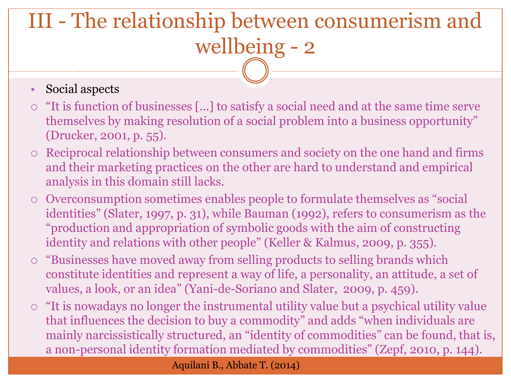## III - The relationship between consumerism and wellbeing - 2

#### • Social aspects

- "It is function of businesses […] to satisfy a social need and at the same time serve themselves by making resolution of a social problem into a business opportunity" (Drucker, 2001, p. 55).
- Reciprocal relationship between consumers and society on the one hand and firms and their marketing practices on the other are hard to understand and empirical analysis in this domain still lacks.
- Overconsumption sometimes enables people to formulate themselves as "social identities" (Slater, 1997, p. 31), while Bauman (1992), refers to consumerism as the "production and appropriation of symbolic goods with the aim of constructing identity and relations with other people" (Keller & Kalmus, 2009, p. 355).
- "Businesses have moved away from selling products to selling brands which constitute identities and represent a way of life, a personality, an attitude, a set of values, a look, or an idea" (Yani-de-Soriano and Slater, 2009, p. 459).
- "It is nowadays no longer the instrumental utility value but a psychical utility value that influences the decision to buy a commodity" and adds "when individuals are mainly narcissistically structured, an "identity of commodities" can be found, that is, a non-personal identity formation mediated by commodities" (Zepf, 2010, p. 144).

Aquilani B., Abbate T. (2014)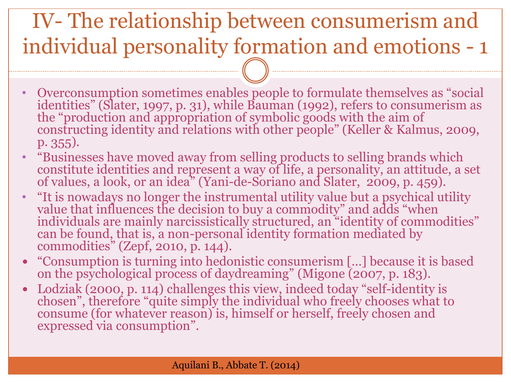#### IV- The relationship between consumerism and individual personality formation and emotions - 1

- Overconsumption sometimes enables people to formulate themselves as "social identities" (Slater, 1997, p. 31), while Bauman (1992), refers to consumerism as the "production and appropriation of symbolic goods with the aim of constructing identity and relations with other people" (Keller & Kalmus, 2009, p. 355).
- "Businesses have moved away from selling products to selling brands which constitute identities and represent a way of life, a personality, an attitude, a set of values, a look, or an idea" (Yani-de-Soriano and Slater, 2009, p. 459).
- "It is nowadays no longer the instrumental utility value but a psychical utility value that influences the decision to buy a commodity" and adds "when individuals are mainly narcissistically structured, an "identity of commodities" can be found, that is, a non-personal identity formation mediated by commodities" (Zepf, 2010, p. 144).
- "Consumption is turning into hedonistic consumerism […] because it is based on the psychological process of daydreaming" (Migone (2007, p. 183).
- Lodziak (2000, p. 114) challenges this view, indeed today "self-identity is chosen", therefore "quite simply the individual who freely chooses what to consume (for whatever reason) is, himself or herself, freely chosen and expressed via consumption".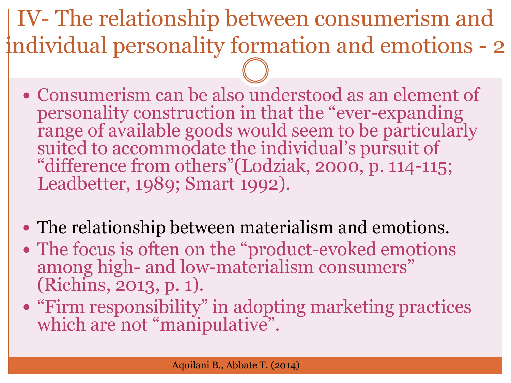IV- The relationship between consumerism and individual personality formation and emotions - 2

- Consumerism can be also understood as an element of personality construction in that the "ever-expanding range of available goods would seem to be particularly suited to accommodate the individual's pursuit of "difference from others"(Lodziak, 2000, p. 114-115; Leadbetter, 1989; Smart 1992).
- The relationship between materialism and emotions.
- The focus is often on the "product-evoked emotions among high- and low-materialism consumers" (Richins, 2013, p. 1).
- "Firm responsibility" in adopting marketing practices which are not "manipulative".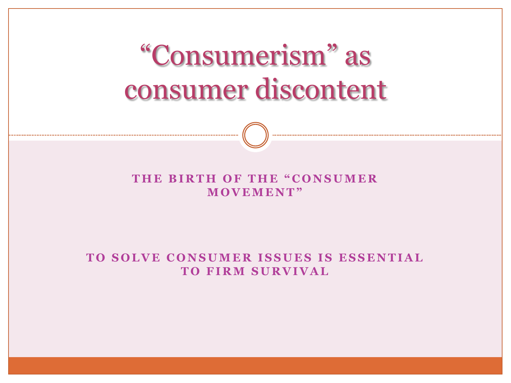"Consumerism" as consumer discontent

THE BIRTH OF THE "CONSUMER **M O V E M E N T"**

**TO SOLVE CONSUMER ISSUES IS ESSENTIAL TO FIRM SURVIVAL**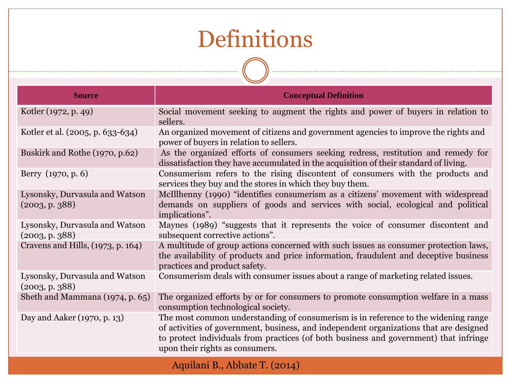#### Definitions

| <b>Source</b>                                    | <b>Conceptual Definition</b>                                                                                                                                                                                                                                                                             |  |  |
|--------------------------------------------------|----------------------------------------------------------------------------------------------------------------------------------------------------------------------------------------------------------------------------------------------------------------------------------------------------------|--|--|
| Kotler (1972, p. 49)                             | Social movement seeking to augment the rights and power of buyers in relation to<br>sellers.                                                                                                                                                                                                             |  |  |
| Kotler et al. (2005, p. 633-634)                 | An organized movement of citizens and government agencies to improve the rights and<br>power of buyers in relation to sellers.                                                                                                                                                                           |  |  |
| Buskirk and Rothe (1970, p.62)                   | As the organized efforts of consumers seeking redress, restitution and remedy for<br>dissatisfaction they have accumulated in the acquisition of their standard of living.                                                                                                                               |  |  |
| Berry (1970, p. 6)                               | Consumerism refers to the rising discontent of consumers with the products and<br>services they buy and the stores in which they buy them.                                                                                                                                                               |  |  |
| Lysonsky, Durvasula and Watson<br>(2003, p. 388) | McIllhenny (1990) "identifies consumerism as a citizens' movement with widespread<br>demands on suppliers of goods and services with social, ecological and political<br>implications".                                                                                                                  |  |  |
| Lysonsky, Durvasula and Watson<br>(2003, p. 388) | Maynes (1989) "suggests that it represents the voice of consumer discontent and<br>subsequent corrective actions".                                                                                                                                                                                       |  |  |
| Cravens and Hills, (1973, p. 164)                | A multitude of group actions concerned with such issues as consumer protection laws,<br>the availability of products and price information, fraudulent and deceptive business<br>practices and product safety.                                                                                           |  |  |
| Lysonsky, Durvasula and Watson<br>(2003, p. 388) | Consumerism deals with consumer issues about a range of marketing related issues.                                                                                                                                                                                                                        |  |  |
| Sheth and Mammana (1974, p. 65)                  | The organized efforts by or for consumers to promote consumption welfare in a mass<br>consumption technological society.                                                                                                                                                                                 |  |  |
| Day and Aaker (1970, p. 13)                      | The most common understanding of consumerism is in reference to the widening range<br>of activities of government, business, and independent organizations that are designed<br>to protect individuals from practices (of both business and government) that infringe<br>upon their rights as consumers. |  |  |
|                                                  | Aquilani B., Abbate T. (2014)                                                                                                                                                                                                                                                                            |  |  |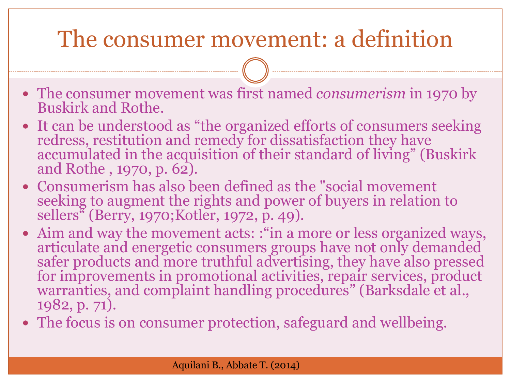#### The consumer movement: a definition

- The consumer movement was first named *consumerism* in 1970 by Buskirk and Rothe.
- It can be understood as "the organized efforts of consumers seeking redress, restitution and remedy for dissatisfaction they have accumulated in the acquisition of their standard of living" (Buskirk and Rothe , 1970, p. 62).
- Consumerism has also been defined as the "social movement seeking to augment the rights and power of buyers in relation to sellers" (Berry, 1970;Kotler, 1972, p. 49).
- Aim and way the movement acts: : "in a more or less organized ways, articulate and energetic consumers groups have not only demanded safer products and more truthful advertising, they have also pressed for improvements in promotional activities, repair services, product warranties, and complaint handling procedures" (Barksdale et al., 1982, p. 71).
- The focus is on consumer protection, safeguard and wellbeing.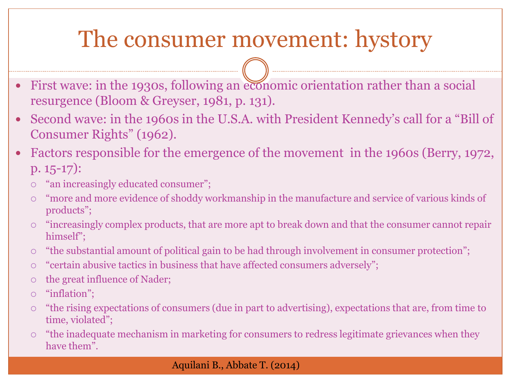#### The consumer movement: hystory

- First wave: in the 1930s, following an economic orientation rather than a social resurgence (Bloom & Greyser, 1981, p. 131).
- Second wave: in the 1960s in the U.S.A. with President Kennedy's call for a "Bill of Consumer Rights" (1962).
- Factors responsible for the emergence of the movement in the 1960s (Berry, 1972, p. 15-17):
	- $\circ$  "an increasingly educated consumer";
	- "more and more evidence of shoddy workmanship in the manufacture and service of various kinds of products";
	- "increasingly complex products, that are more apt to break down and that the consumer cannot repair himself";
	- "the substantial amount of political gain to be had through involvement in consumer protection";
	- "certain abusive tactics in business that have affected consumers adversely";
	- $\circ$  the great influence of Nader;
	- "inflation";
	- "the rising expectations of consumers (due in part to advertising), expectations that are, from time to time, violated";
	- "the inadequate mechanism in marketing for consumers to redress legitimate grievances when they have them".

#### Aquilani B., Abbate T. (2014)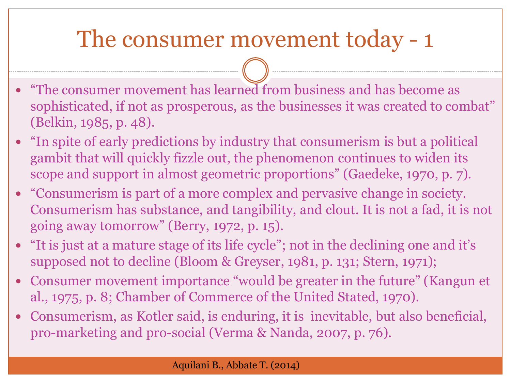#### The consumer movement today - 1

- "The consumer movement has learned from business and has become as sophisticated, if not as prosperous, as the businesses it was created to combat" (Belkin, 1985, p. 48).
- "In spite of early predictions by industry that consumerism is but a political gambit that will quickly fizzle out, the phenomenon continues to widen its scope and support in almost geometric proportions" (Gaedeke, 1970, p. 7).
- "Consumerism is part of a more complex and pervasive change in society. Consumerism has substance, and tangibility, and clout. It is not a fad, it is not going away tomorrow" (Berry, 1972, p. 15).
- "It is just at a mature stage of its life cycle"; not in the declining one and it's supposed not to decline (Bloom & Greyser, 1981, p. 131; Stern, 1971);
- Consumer movement importance "would be greater in the future" (Kangun et al., 1975, p. 8; Chamber of Commerce of the United Stated, 1970).
- Consumerism, as Kotler said, is enduring, it is inevitable, but also beneficial, pro-marketing and pro-social (Verma & Nanda, 2007, p. 76).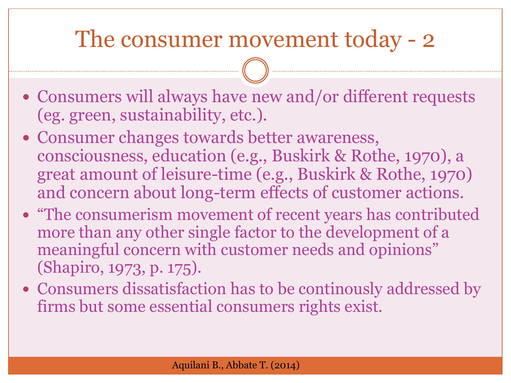#### The consumer movement today - 2

- Consumers will always have new and/or different requests (eg. green, sustainability, etc.).
- Consumer changes towards better awareness, consciousness, education (e.g., Buskirk & Rothe, 1970), a great amount of leisure-time (e.g., Buskirk & Rothe, 1970) and concern about long-term effects of customer actions.
- "The consumerism movement of recent years has contributed more than any other single factor to the development of a meaningful concern with customer needs and opinions" (Shapiro, 1973, p. 175).
- Consumers dissatisfaction has to be continously addressed by firms but some essential consumers rights exist.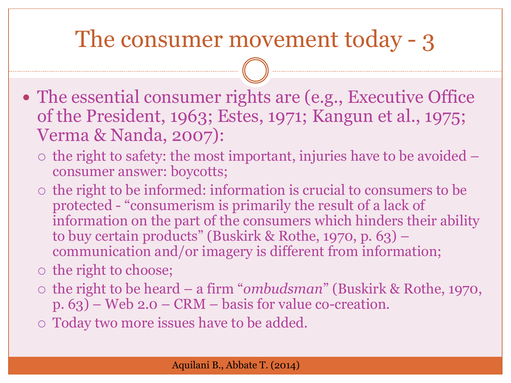#### The consumer movement today - 3

- The essential consumer rights are (e.g., Executive Office of the President, 1963; Estes, 1971; Kangun et al., 1975; Verma & Nanda, 2007):
	- $\circ$  the right to safety: the most important, injuries have to be avoided  $$ consumer answer: boycotts;
	- $\circ$  the right to be informed: information is crucial to consumers to be protected - "consumerism is primarily the result of a lack of information on the part of the consumers which hinders their ability to buy certain products" (Buskirk & Rothe, 1970, p. 63) – communication and/or imagery is different from information;
	- $\circ$  the right to choose;
	- the right to be heard a firm "*ombudsman*" (Buskirk & Rothe, 1970, p. 63) – Web 2.0 – CRM – basis for value co-creation.
	- Today two more issues have to be added.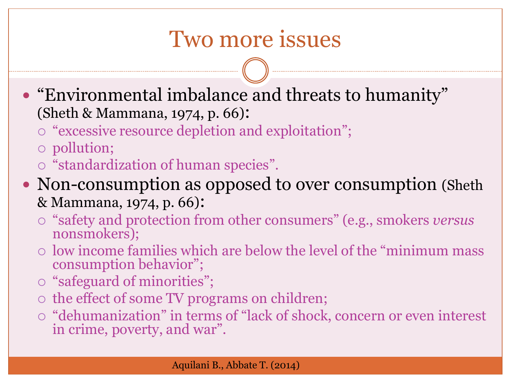#### Two more issues

- "Environmental imbalance and threats to humanity" (Sheth & Mammana, 1974, p. 66):
	- $\circ$  "excessive resource depletion and exploitation";
	- pollution;
	- $\circ$  "standardization of human species".
- Non-consumption as opposed to over consumption (Sheth & Mammana, 1974, p. 66):
	- "safety and protection from other consumers" (e.g., smokers *versus* nonsmokers);
	- low income families which are below the level of the "minimum mass consumption behavior";
	- "safeguard of minorities";
	- $\circ$  the effect of some TV programs on children;
	- "dehumanization" in terms of "lack of shock, concern or even interest in crime, poverty, and war".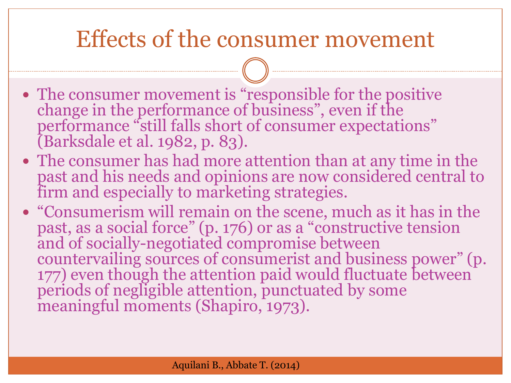#### Effects of the consumer movement

- The consumer movement is "responsible for the positive change in the performance of business", even if the performance "still falls short of consumer expectations" (Barksdale et al. 1982, p. 83).
- The consumer has had more attention than at any time in the past and his needs and opinions are now considered central to firm and especially to marketing strategies.
- "Consumerism will remain on the scene, much as it has in the past, as a social force" (p. 176) or as a "constructive tension and of socially-negotiated compromise between countervailing sources of consumerist and business power" (p. 177) even though the attention paid would fluctuate between periods of negligible attention, punctuated by some meaningful moments (Shapiro, 1973).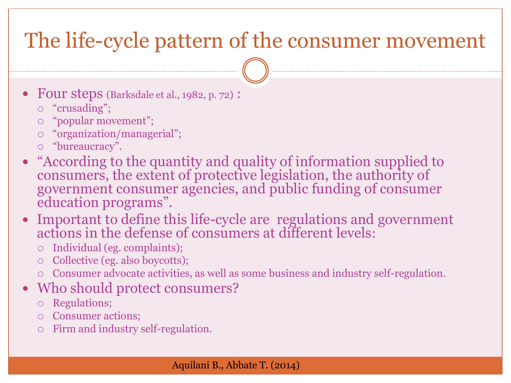#### The life-cycle pattern of the consumer movement

- Four steps (Barksdale et al., 1982, p. 72) :
	- "crusading";
	- "popular movement";
	- "organization/managerial";
	- "bureaucracy".
- "According to the quantity and quality of information supplied to consumers, the extent of protective legislation, the authority of government consumer agencies, and public funding of consumer education programs".
- Important to define this life-cycle are regulations and government actions in the defense of consumers at different levels:
	- Individual (eg. complaints);
	- Collective (eg. also boycotts);
	- Consumer advocate activities, as well as some business and industry self-regulation.

#### • Who should protect consumers?

- Regulations;
- Consumer actions;
- Firm and industry self-regulation.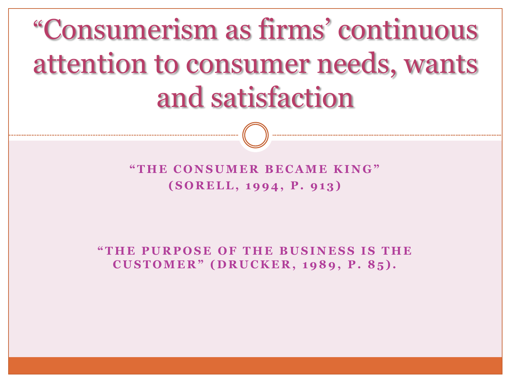# "Consumerism as firms' continuous attention to consumer needs, wants and satisfaction

**" T H E C O N S U M E R B E C A M E K I N G " (S O R E L L, 1 9 9 4 , P . 9 1 3 )** 

**"T H E P U R P O S E O F T H E B U S I N E S S I S T H E C U S T O M E R " ( D R U C K E R , 1 9 8 9 , P . 8 5 ) .**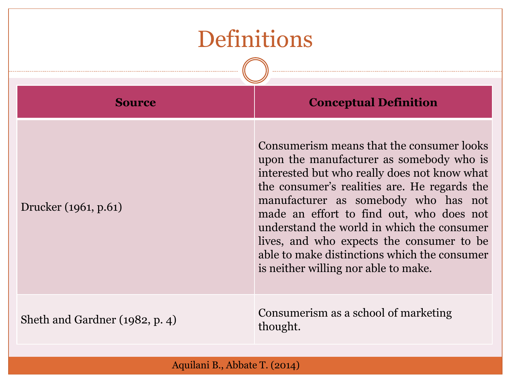#### Definitions

| <b>Source</b>                  | <b>Conceptual Definition</b>                                                                                                                                                                                                                                                                                                                                                                                                                                 |  |  |
|--------------------------------|--------------------------------------------------------------------------------------------------------------------------------------------------------------------------------------------------------------------------------------------------------------------------------------------------------------------------------------------------------------------------------------------------------------------------------------------------------------|--|--|
| Drucker (1961, p.61)           | Consumerism means that the consumer looks<br>upon the manufacturer as somebody who is<br>interested but who really does not know what<br>the consumer's realities are. He regards the<br>manufacturer as somebody who has not<br>made an effort to find out, who does not<br>understand the world in which the consumer<br>lives, and who expects the consumer to be<br>able to make distinctions which the consumer<br>is neither willing nor able to make. |  |  |
| Sheth and Gardner (1982, p. 4) | Consumerism as a school of marketing<br>thought.                                                                                                                                                                                                                                                                                                                                                                                                             |  |  |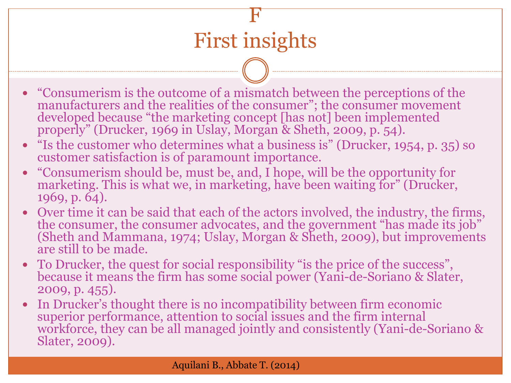F

- "Consumerism is the outcome of a mismatch between the perceptions of the manufacturers and the realities of the consumer"; the consumer movement developed because "the marketing concept [has not] been implemented properly" (Drucker, 1969 in Uslay, Morgan & Sheth, 2009, p. 54).
- "Is the customer who determines what a business is" (Drucker, 1954, p. 35) so customer satisfaction is of paramount importance.
- "Consumerism should be, must be, and, I hope, will be the opportunity for marketing. This is what we, in marketing, have been waiting for" (Drucker, 1969, p. 64).
- Over time it can be said that each of the actors involved, the industry, the firms, the consumer, the consumer advocates, and the government "has made its job" (Sheth and Mammana, 1974; Uslay, Morgan & Sheth, 2009), but improvements are still to be made.
- To Drucker, the quest for social responsibility "is the price of the success", because it means the firm has some social power (Yani-de-Soriano & Slater, 2009, p. 455).
- In Drucker's thought there is no incompatibility between firm economic superior performance, attention to social issues and the firm internal workforce, they can be all managed jointly and consistently (Yani-de-Soriano & Slater, 2009).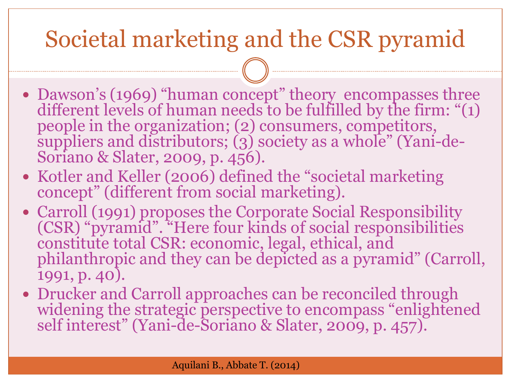## Societal marketing and the CSR pyramid

- Dawson's (1969) "human concept" theory encompasses three different levels of human needs to be fulfilled by the firm: "(1) people in the organization; (2) consumers, competitors, suppliers and distributors; (3) society as a whole" (Yani-de-Soriano & Slater, 2009, p. 456).
- Kotler and Keller (2006) defined the "societal marketing concept" (different from social marketing).
- Carroll (1991) proposes the Corporate Social Responsibility (CSR) "pyramid". "Here four kinds of social responsibilities constitute total CSR: economic, legal, ethical, and philanthropic and they can be depicted as a pyramid" (Carroll, 1991, p. 40).
- Drucker and Carroll approaches can be reconciled through widening the strategic perspective to encompass "enlightened self interest" (Yani-de-Soriano & Slater, 2009, p. 457).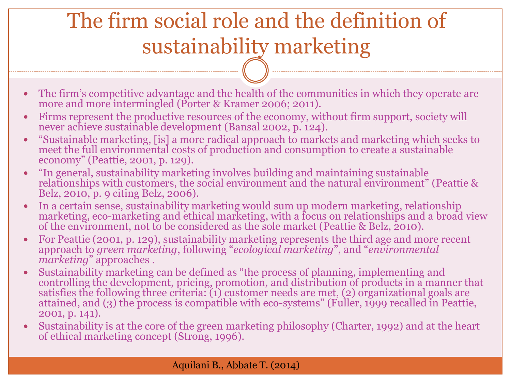## The firm social role and the definition of sustainability marketing

- The firm's competitive advantage and the health of the communities in which they operate are more and more intermingled (Porter & Kramer 2006; 2011).
- Firms represent the productive resources of the economy, without firm support, society will never achieve sustainable development (Bansal 2002, p. 124).
- "Sustainable marketing, [is] a more radical approach to markets and marketing which seeks to meet the full environmental costs of production and consumption to create a sustainable economy" (Peattie, 2001, p. 129).
- "In general, sustainability marketing involves building and maintaining sustainable relationships with customers, the social environment and the natural environment" (Peattie & Belz, 2010, p. 9 citing Belz, 2006).
- In a certain sense, sustainability marketing would sum up modern marketing, relationship marketing, eco-marketing and ethical marketing, with a focus on relationships and a broad view of the environment, not to be considered as the sole market (Peattie & Belz, 2010).
- For Peattie (2001, p. 129), sustainability marketing represents the third age and more recent approach to *green marketing*, following "*ecological marketing*", and "*environmental marketing*" approaches .
- Sustainability marketing can be defined as "the process of planning, implementing and controlling the development, pricing, promotion, and distribution of products in a manner that satisfies the following three criteria: (1) customer needs are met, (2) organizational goals are attained, and (3) the process is compatible with eco-systems" (Fuller, 1999 recalled in Peattie, 2001, p. 141).
- Sustainability is at the core of the green marketing philosophy (Charter, 1992) and at the heart of ethical marketing concept (Strong, 1996).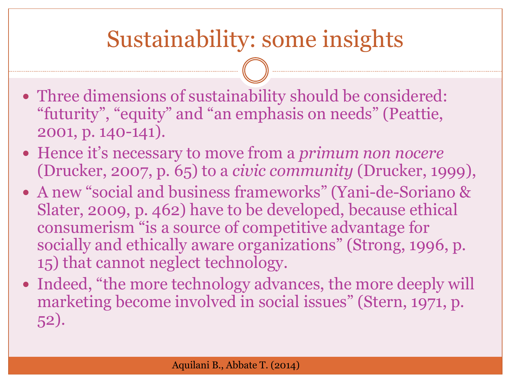### Sustainability: some insights

- Three dimensions of sustainability should be considered: "futurity", "equity" and "an emphasis on needs" (Peattie, 2001, p. 140-141).
- Hence it's necessary to move from a *primum non nocere* (Drucker, 2007, p. 65) to a *civic community* (Drucker, 1999),
- A new "social and business frameworks" (Yani-de-Soriano & Slater, 2009, p. 462) have to be developed, because ethical consumerism "is a source of competitive advantage for socially and ethically aware organizations" (Strong, 1996, p. 15) that cannot neglect technology.
- Indeed, "the more technology advances, the more deeply will marketing become involved in social issues" (Stern, 1971, p. 52).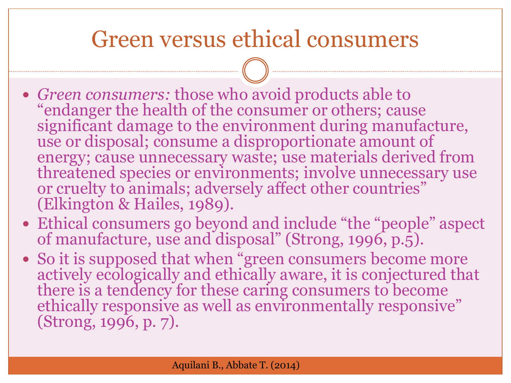#### Green versus ethical consumers

- *Green consumers:* those who avoid products able to "endanger the health of the consumer or others; cause significant damage to the environment during manufacture, use or disposal; consume a disproportionate amount of energy; cause unnecessary waste; use materials derived from threatened species or environments; involve unnecessary use or cruelty to animals; adversely affect other countries" (Elkington & Hailes, 1989).
- Ethical consumers go beyond and include "the "people" aspect of manufacture, use and disposal" (Strong, 1996, p.5).
- So it is supposed that when "green consumers become more actively ecologically and ethically aware, it is conjectured that there is a tendency for these caring consumers to become ethically responsive as well as environmentally responsive" (Strong, 1996, p. 7).